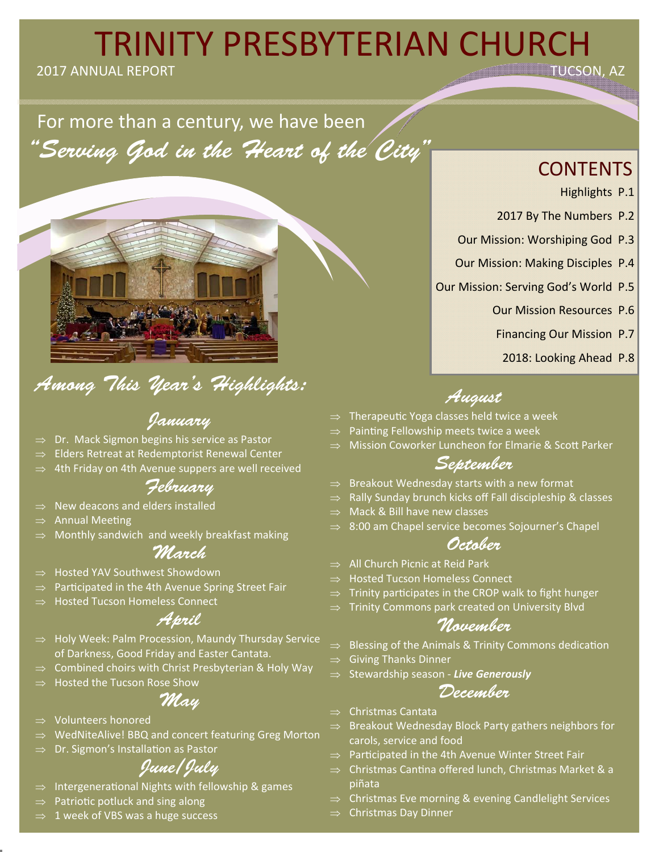# **TRINITY PRESBYTERIAN CHURCH**

2017 ANNUAL REPORT

For more than a century, we have been "Serving God in the Heart of the City"



# Among This Year's Highlights:

## January

- Dr. Mack Sigmon begins his service as Pastor
- Elders Retreat at Redemptorist Renewal Center
- 4th Friday on 4th Avenue suppers are well received

## February

- $\Rightarrow$  New deacons and elders installed
- **Annual Meeting**
- Monthly sandwich and weekly breakfast making

## March

- Hosted YAV Southwest Showdown
- Participated in the 4th Avenue Spring Street Fair
- Hosted Tucson Homeless Connect

## April

- $\Rightarrow$  Holy Week: Palm Procession, Maundy Thursday Service of Darkness, Good Friday and Easter Cantata.
- Combined choirs with Christ Presbyterian & Holy Way
- Hosted the Tucson Rose Show

## May

- Volunteers honored
- WedNiteAlive! BBQ and concert featuring Greg Morton
- Dr. Sigmon's Installation as Pastor

## June/July

- Intergenerational Nights with fellowship & games
- Patriotic potluck and sing along
- 1 week of VBS was a huge success

## **CONTENTS**

- Highlights P.1
- 2017 By The Numbers P.2
- Our Mission: Worshiping God P.3
- Our Mission: Making Disciples P.4
- Our Mission: Serving God's World P.5
	- Our Mission Resources P.6
	- Financing Our Mission P.7
		- 2018: Looking Ahead P.8

## August

- TherapeuƟc Yoga classes held twice a week
- Painting Fellowship meets twice a week
- Mission Coworker Luncheon for Elmarie & Scott Parker

### September

- Breakout Wednesday starts with a new format
- Rally Sunday brunch kicks off Fall discipleship & classes
- Mack & Bill have new classes
- $\Rightarrow$  8:00 am Chapel service becomes Sojourner's Chapel

## October

- All Church Picnic at Reid Park
- Hosted Tucson Homeless Connect
- $\Rightarrow$  Trinity participates in the CROP walk to fight hunger
- Trinity Commons park created on University Blvd

### November

- $\Rightarrow$  Blessing of the Animals & Trinity Commons dedication
- $\Rightarrow$  Giving Thanks Dinner
- Stewardship season ‐ *Live Generously*

### December

- $\Rightarrow$  Christmas Cantata
- Breakout Wednesday Block Party gathers neighbors for carols, service and food
- Participated in the 4th Avenue Winter Street Fair
- $\Rightarrow$  Christmas Cantina offered lunch, Christmas Market & a piñata
- Christmas Eve morning & evening Candlelight Services
- $\Rightarrow$  Christmas Day Dinner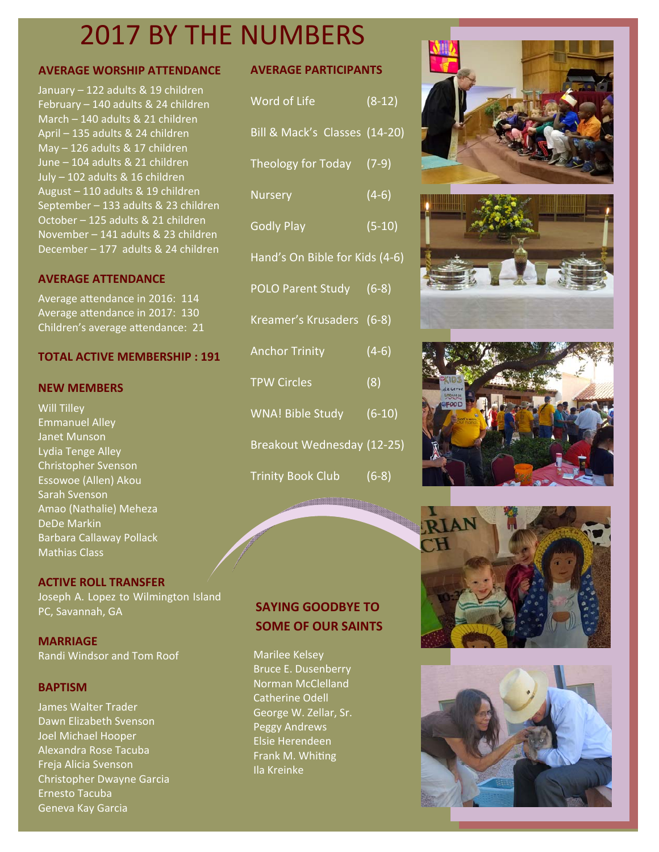# 2017 BY THE NUMBERS

### **AVERAGE WORSHIP ATTENDANCE**

January – 122 adults & 19 children February – 140 adults & 24 children March – 140 adults & 21 children April – 135 adults & 24 children May – 126 adults & 17 children June – 104 adults & 21 children July – 102 adults & 16 children August – 110 adults & 19 children September – 133 adults & 23 children October – 125 adults & 21 children November – 141 adults & 23 children December – 177 adults & 24 children

### **AVERAGE ATTENDANCE**

Average attendance in 2016: 114 Average attendance in 2017: 130 Children's average attendance: 21

### **TOTAL ACTIVE MEMBERSHIP : 191**

#### **NEW MEMBERS**

Will Tilley Emmanuel Alley Janet Munson Lydia Tenge Alley Christopher Svenson Essowoe (Allen) Akou Sarah Svenson Amao (Nathalie) Meheza DeDe Markin Barbara Callaway Pollack Mathias Class

### **ACTIVE ROLL TRANSFER**

Joseph A. Lopez to Wilmington Island PC, Savannah, GA

**MARRIAGE** Randi Windsor and Tom Roof

### **BAPTISM**

James Walter Trader Dawn Elizabeth Svenson Joel Michael Hooper Alexandra Rose Tacuba Freja Alicia Svenson Christopher Dwayne Garcia Ernesto Tacuba Geneva Kay Garcia

### **AVERAGE PARTICIPANTS**

| Word of Life                   | $(8-12)$ |
|--------------------------------|----------|
| Bill & Mack's Classes (14-20)  |          |
| Theology for Today (7-9)       |          |
| <b>Nursery</b>                 | $(4-6)$  |
| <b>Godly Play</b>              | $(5-10)$ |
| Hand's On Bible for Kids (4-6) |          |
| POLO Parent Study (6-8)        |          |
| Kreamer's Krusaders (6-8)      |          |
| <b>Anchor Trinity</b>          | $(4-6)$  |
| <b>TPW Circles</b>             | (8)      |
| WNA! Bible Study               | $(6-10)$ |
| Breakout Wednesday (12-25)     |          |
| <b>Trinity Book Club</b>       | $(6-8)$  |



Marilee Kelsey Bruce E. Dusenberry Norman McClelland Catherine Odell George W. Zellar, Sr. Peggy Andrews Elsie Herendeen **Frank M. Whiting** Ila Kreinke









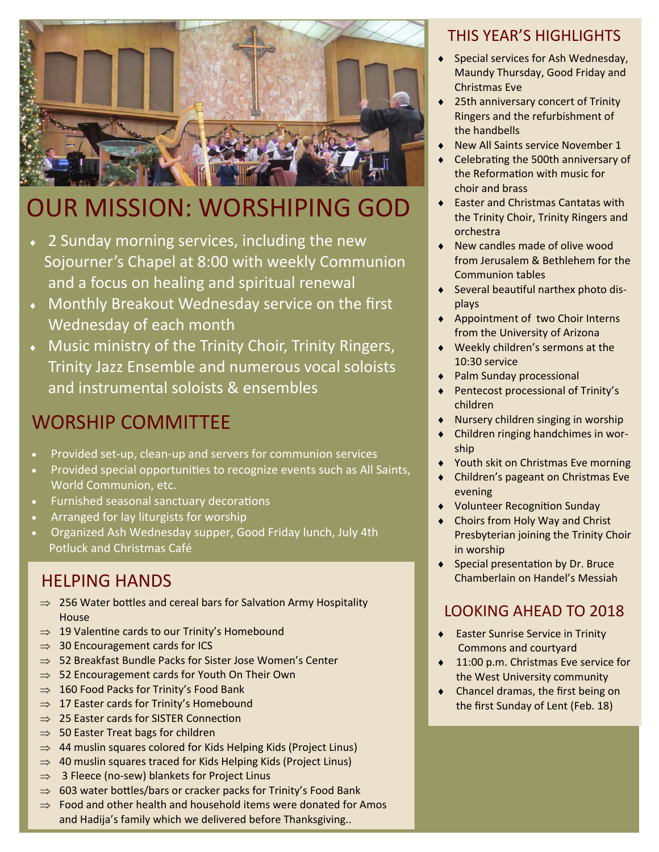

# OUR MISSION: WORSHIPING GOD

- 2 Sunday morning services, including the new Sojourner's Chapel at 8:00 with weekly Communion and a focus on healing and spiritual renewal
- Monthly Breakout Wednesday service on the first Wednesday of each month
- Music ministry of the Trinity Choir, Trinity Ringers, Trinity Jazz Ensemble and numerous vocal soloists and instrumental soloists & ensembles

## WORSHIP COMMITTEE

- Provided set‐up, clean‐up and servers for communion services
- Provided special opportunities to recognize events such as All Saints, World Communion, etc.
- Furnished seasonal sanctuary decorations
- Arranged for lay liturgists for worship
- Organized Ash Wednesday supper, Good Friday lunch, July 4th Potluck and Christmas Café

## HELPING HANDS

- $\Rightarrow$  256 Water bottles and cereal bars for Salvation Army Hospitality House
- $\Rightarrow$  19 Valentine cards to our Trinity's Homebound
- $\Rightarrow$  30 Encouragement cards for ICS
- $\Rightarrow$  52 Breakfast Bundle Packs for Sister Jose Women's Center
- $\Rightarrow$  52 Encouragement cards for Youth On Their Own
- $\Rightarrow$  160 Food Packs for Trinity's Food Bank
- $\Rightarrow$  17 Easter cards for Trinity's Homebound
- $\Rightarrow$  25 Easter cards for SISTER Connection
- $\Rightarrow$  50 Easter Treat bags for children
- $\Rightarrow$  44 muslin squares colored for Kids Helping Kids (Project Linus)
- $\Rightarrow$  40 muslin squares traced for Kids Helping Kids (Project Linus)
- $\Rightarrow$  3 Fleece (no-sew) blankets for Project Linus
- $\Rightarrow$  603 water bottles/bars or cracker packs for Trinity's Food Bank
- $\Rightarrow$  Food and other health and household items were donated for Amos and Hadija's family which we delivered before Thanksgiving..

## THIS YEAR'S HIGHLIGHTS

- Special services for Ash Wednesday, Maundy Thursday, Good Friday and Christmas Eve
- 25th anniversary concert of Trinity Ringers and the refurbishment of the handbells
- New All Saints service November 1
- Celebrating the 500th anniversary of the Reformation with music for choir and brass
- ◆ Easter and Christmas Cantatas with the Trinity Choir, Trinity Ringers and orchestra
- ◆ New candles made of olive wood from Jerusalem & Bethlehem for the Communion tables
- ◆ Several beautiful narthex photo displays
- ◆ Appointment of two Choir Interns from the University of Arizona
- Weekly children's sermons at the 10:30 service
- Palm Sunday processional
- ◆ Pentecost processional of Trinity's children
- Nursery children singing in worship
- ◆ Children ringing handchimes in worship
- Youth skit on Christmas Eve morning
- Children's pageant on Christmas Eve evening
- ◆ Volunteer Recognition Sunday
- Choirs from Holy Way and Christ Presbyterian joining the Trinity Choir in worship
- $\bullet$  Special presentation by Dr. Bruce Chamberlain on Handel's Messiah

## LOOKING AHEAD TO 2018

- Easter Sunrise Service in Trinity Commons and courtyard
- 11:00 p.m. Christmas Eve service for the West University community
- Chancel dramas, the first being on the first Sunday of Lent (Feb. 18)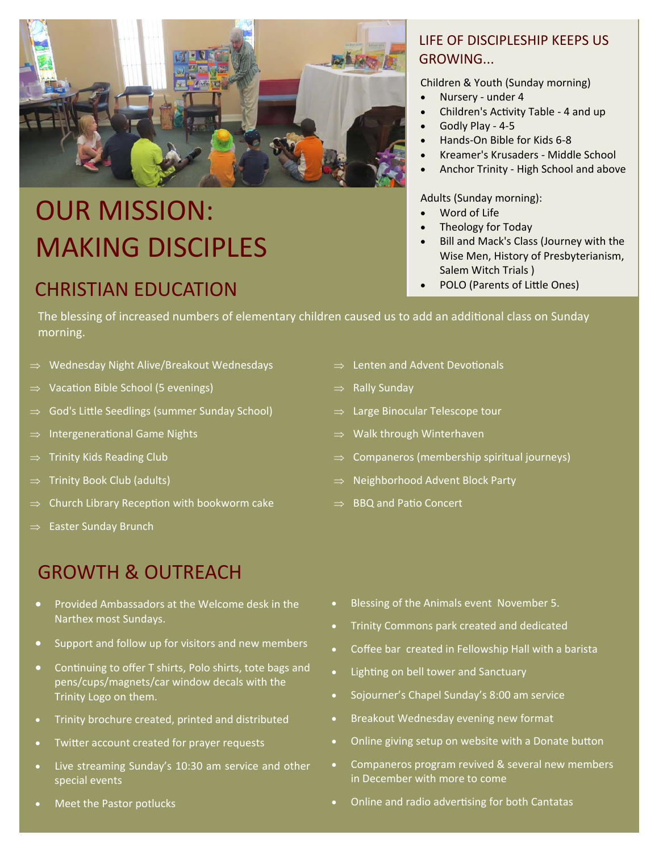

# OUR MISSION: MAKING DISCIPLES

## **CHRISTIAN EDUCATION CHRISTIAN EDUCATION**

### LIFE OF DISCIPLESHIP KEEPS US GROWING...

Children & Youth (Sunday morning)

- Nursery under 4
- Children's Activity Table 4 and up
- Godly Play ‐ 4‐5
- Hands‐On Bible for Kids 6‐8
- Kreamer's Krusaders ‐ Middle School
- Anchor Trinity ‐ High School and above

### Adults (Sunday morning):

- Word of Life
- Theology for Today
- Bill and Mack's Class (Journey with the Wise Men, History of Presbyterianism, Salem Witch Trials )
- 

The blessing of increased numbers of elementary children caused us to add an additional class on Sunday morning.

- $\Rightarrow$  Wednesday Night Alive/Breakout Wednesdays
- $\Rightarrow$  Vacation Bible School (5 evenings)
- $\Rightarrow$  God's Little Seedlings (summer Sunday School)
- $\Rightarrow$  Intergenerational Game Nights
- $\Rightarrow$  Trinity Kids Reading Club
- $\Rightarrow$  Trinity Book Club (adults)
- $\Rightarrow$  Church Library Reception with bookworm cake
- $\Rightarrow$  Easter Sunday Brunch

# GROWTH & OUTREACH

- Provided Ambassadors at the Welcome desk in the Narthex most Sundays.
- Support and follow up for visitors and new members
- Continuing to offer T shirts, Polo shirts, tote bags and pens/cups/magnets/car window decals with the Trinity Logo on them.
- Trinity brochure created, printed and distributed
- Twitter account created for prayer requests
- Live streaming Sunday's 10:30 am service and other special events
- Meet the Pastor potlucks
- $\Rightarrow$  Lenten and Advent Devotionals
- $\Rightarrow$  Rally Sunday
- $\Rightarrow$  Large Binocular Telescope tour
- $\Rightarrow$  Walk through Winterhaven
- $\Rightarrow$  Companeros (membership spiritual journeys)
- $\Rightarrow$  Neighborhood Advent Block Party
- $\Rightarrow$  BBQ and Patio Concert

- **•** Blessing of the Animals event November 5.
- Trinity Commons park created and dedicated
- Coffee bar created in Fellowship Hall with a barista
- Lighting on bell tower and Sanctuary
- Sojourner's Chapel Sunday's 8:00 am service
- **•** Breakout Wednesday evening new format
- Online giving setup on website with a Donate button
- Companeros program revived & several new members in December with more to come
- Online and radio advertising for both Cantatas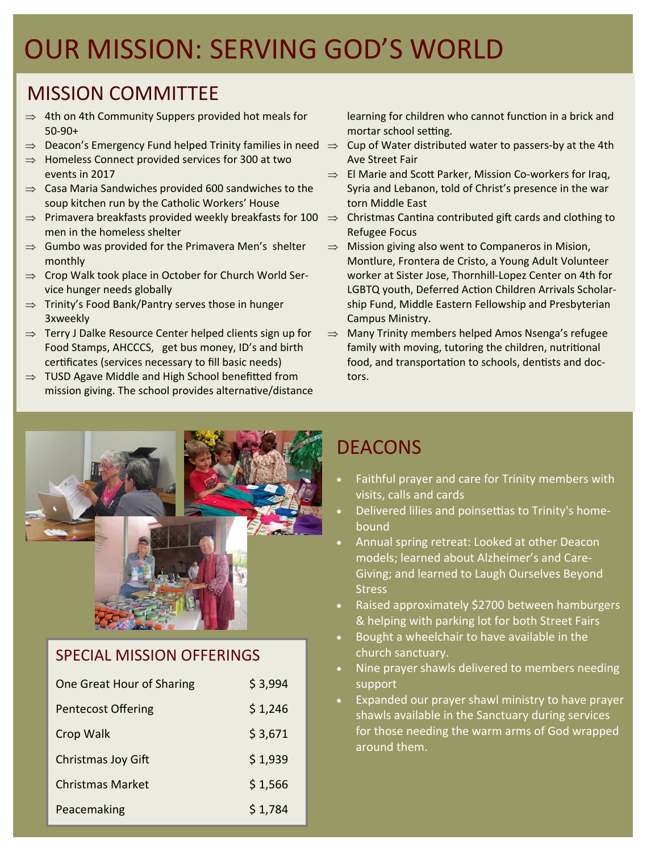# MISSION COMMITTEE

- $\Rightarrow$  4th on 4th Community Suppers provided hot meals for 50‐90+
- $\Rightarrow$  Deacon's Emergency Fund helped Trinity families in need  $\Rightarrow$  Cup of Water distributed water to passers-by at the 4th
- $\Rightarrow$  Homeless Connect provided services for 300 at two events in 2017
- $\Rightarrow$  Casa Maria Sandwiches provided 600 sandwiches to the soup kitchen run by the Catholic Workers' House
- $\Rightarrow$  Primavera breakfasts provided weekly breakfasts for 100  $\Rightarrow$  Christmas Cantina contributed gift cards and clothing to men in the homeless shelter
- $\Rightarrow$  Gumbo was provided for the Primavera Men's shelter monthly
- $\Rightarrow$  Crop Walk took place in October for Church World Service hunger needs globally
- $\Rightarrow$  Trinity's Food Bank/Pantry serves those in hunger 3xweekly
- $\Rightarrow$  Terry J Dalke Resource Center helped clients sign up for Food Stamps, AHCCCS, get bus money, ID's and birth certificates (services necessary to fill basic needs)
- $\Rightarrow$  TUSD Agave Middle and High School benefitted from mission giving. The school provides alternative/distance

learning for children who cannot function in a brick and mortar school setting.

- Ave Street Fair
- $\Rightarrow$  El Marie and Scott Parker, Mission Co-workers for Iraq, Syria and Lebanon, told of Christ's presence in the war torn Middle East
- Refugee Focus
- $\Rightarrow$  Mission giving also went to Companeros in Mision, Montlure, Frontera de Cristo, a Young Adult Volunteer worker at Sister Jose, Thornhill‐Lopez Center on 4th for LGBTQ youth, Deferred Action Children Arrivals Scholarship Fund, Middle Eastern Fellowship and Presbyterian Campus Ministry.
- $\Rightarrow$  Many Trinity members helped Amos Nsenga's refugee family with moving, tutoring the children, nutritional food, and transportation to schools, dentists and doctors.



## SPECIAL MISSION OFFERINGS

| One Great Hour of Sharing | \$3,994 |
|---------------------------|---------|
| <b>Pentecost Offering</b> | \$1,246 |
| Crop Walk                 | \$3,671 |
| Christmas Joy Gift        | \$1,939 |
| <b>Christmas Market</b>   | \$1,566 |
| Peacemaking               | \$1,784 |

# DEACONS

- Faithful prayer and care for Trinity members with visits, calls and cards
- Delivered lilies and poinsettias to Trinity's homebound
- models; learned about Alzheimer's and Care- Annual spring retreat: Looked at other Deacon Giving; and learned to Laugh Ourselves Beyond **Stress**
- Raised approximately \$2700 between hamburgers & helping with parking lot for both Street Fairs
- Bought a wheelchair to have available in the church sanctuary.
- Nine prayer shawls delivered to members needing support
- Expanded our prayer shawl ministry to have prayer shawls available in the Sanctuary during services for those needing the warm arms of God wrapped around them.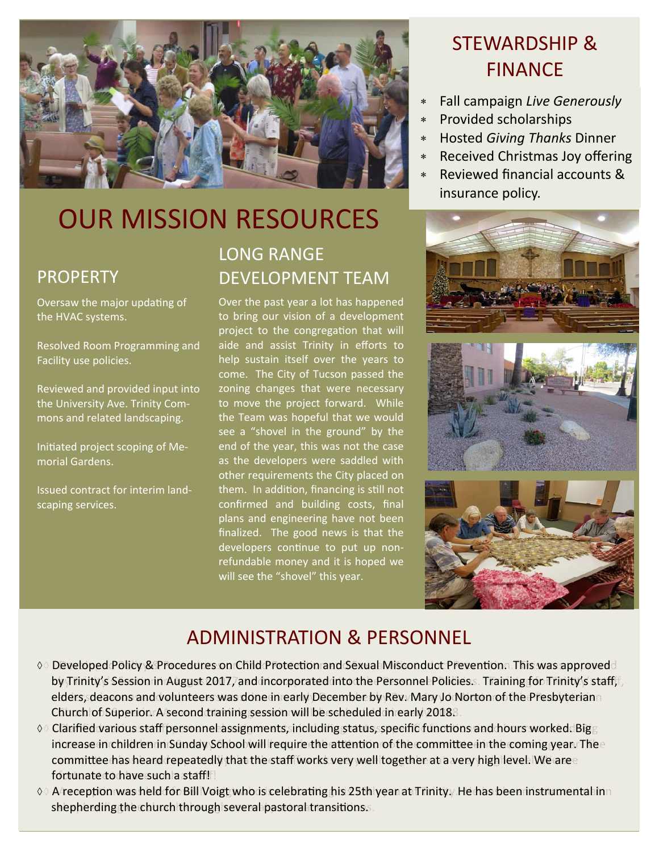

# OUR MISSION RESOURCES

### PROPERTY

Oversaw the major updating of the HVAC systems.

Resolved Room Programming and Facility use policies.

Reviewed and provided input into the University Ave. Trinity Com‐ mons and related landscaping.

Initiated project scoping of Memorial Gardens.

Issued contract for interim land‐ scaping services.

# LONG RANGE DEVELOPMENT TEAM

Over the past year a lot has happened to bring our vision of a development project to the congregation that will aide and assist Trinity in efforts to help sustain itself over the years to come. The City of Tucson passed the zoning changes that were necessary to move the project forward. While the Team was hopeful that we would see a "shovel in the ground" by the end of the year, this was not the case as the developers were saddled with other requirements the City placed on them. In addition, financing is still not confirmed and building costs, final plans and engineering have not been finalized. The good news is that the developers continue to put up nonrefundable money and it is hoped we will see the "shovel" this year.

# STEWARDSHIP & STEWARDSHIP & FINANCE FINANCE

- Fall campaign *Live Generously* Fall campaign *Live Generously*
- Provided scholarships Provided scholarships
- Hosted *Giving Thanks* Dinner Hosted *Giving Thanks* Dinner
- Received Christmas Joy offering Received Christmas Joy offering
- Reviewed financial accounts & Reviewed financial accounts & insurance policy. insurance policy.







## ADMINISTRATION & PERSONNEL

- ◇ Developed Policy & Procedures on Child Protection and Sexual Misconduct Prevention. This was approved by Trinity's Session in August 2017, and incorporated into the Personnel Policies.s. Training for Trinity's stafff, elders, deacons and volunteers was done in early December by Rev. Mary Jo Norton of the Presbyterian elders, deacons and volunteers was done in early December by Rev. Mary Jo Norton of the Presbyterian Church of Superior. A second training session will be scheduled in early 2018. Church of Superior. Asecond training session will be scheduled in early 2018.
- $\Diamond \Diamond$  Clarified various staff personnel assignments, including status, specific functions and hours worked. Big  $_{\odot}$ increase in children in Sunday School will require the attention of the committee in the coming year. The committee has heard repeatedly that the staff works very well together at a very high level. We are  $\varepsilon$ fortunate to have such a staff! fortunate to have such a staff!
- 00 A⁄reception was held for Bill Voigt who is celebrating his 25th year at Trinity. He has been instrumental in shepherding the church through several pastoral transitions.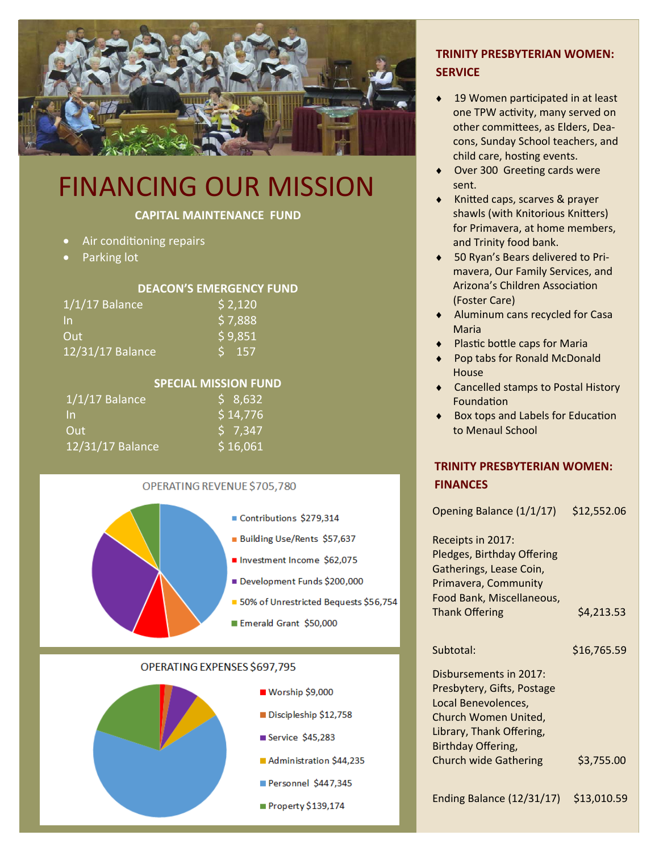

# FINANCING OUR MISSION

### **CAPITAL MAINTENANCE FUND**

- Air conditioning repairs
- Parking lot

#### **DEACON'S EMERGENCY FUND**

| $1/1/17$ Balance | \$2,120    |
|------------------|------------|
| In               | \$7,888    |
| Out              | \$9,851    |
| 12/31/17 Balance | IS.<br>157 |

#### **SPECIAL MISSION FUND**

| $1/1/17$ Balance | $5 \overline{8}$ ,632 |
|------------------|-----------------------|
| <u>In</u>        | \$14,776              |
| Out              | $5$ 7.347             |
| 12/31/17 Balance | \$16,061              |

#### OPERATING REVENUE \$705,780



#### OPERATING EXPENSES \$697,795



### **TRINITY PRESBYTERIAN WOMEN: SERVICE**

- 19 Women participated in at least one TPW activity, many served on other committees, as Elders, Deacons, Sunday School teachers, and child care, hosting events.
- Over 300 Greeting cards were sent.
- Knitted caps, scarves & prayer shawls (with Knitorious Knitters) for Primavera, at home members, and Trinity food bank.
- 50 Ryan's Bears delivered to Pri‐ mavera, Our Family Services, and Arizona's Children Association (Foster Care)
- Aluminum cans recycled for Casa Maria
- ◆ Plastic bottle caps for Maria
- Pop tabs for Ronald McDonald House
- ◆ Cancelled stamps to Postal History **Foundation**
- Box tops and Labels for Education to Menaul School

### **TRINITY PRESBYTERIAN WOMEN: FINANCES**

Opening Balance (1/1/17) \$12,552.06

Receipts in 2017: Pledges, Birthday Offering Gatherings, Lease Coin, Primavera, Community Food Bank, Miscellaneous, Thank Offering  $\frac{1}{2}$   $\frac{1}{2}$   $\frac{1}{2}$   $\frac{1}{2}$   $\frac{1}{2}$   $\frac{1}{2}$   $\frac{1}{2}$   $\frac{1}{2}$   $\frac{1}{2}$   $\frac{1}{2}$   $\frac{1}{2}$   $\frac{1}{2}$   $\frac{1}{2}$   $\frac{1}{2}$   $\frac{1}{2}$   $\frac{1}{2}$   $\frac{1}{2}$   $\frac{1}{2}$   $\frac{1}{2}$   $\frac{1}{2}$   $\frac{1}{$ 

Subtotal: \$16,765.59

Disbursements in 2017: Presbytery, Gifts, Postage Local Benevolences, Church Women United, Library, Thank Offering, Birthday Offering, Church wide Gathering \$3,755.00

Ending Balance (12/31/17) \$13,010.59